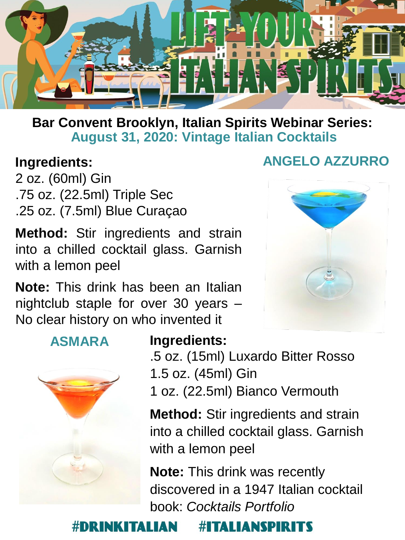

### **Bar Convent Brooklyn, Italian Spirits Webinar Series: August 31, 2020: Vintage Italian Cocktails**

## **Ingredients:**

2 oz. (60ml) Gin .75 oz. (22.5ml) Triple Sec .25 oz. (7.5ml) Blue Curaçao

**Method:** Stir ingredients and strain into a chilled cocktail glass. Garnish with a lemon peel

**Note:** This drink has been an Italian nightclub staple for over 30 years – No clear history on who invented it

## **ANGELO AZZURRO**



**ASMARA**



### **Ingredients:**

.5 oz. (15ml) Luxardo Bitter Rosso 1.5 oz. (45ml) Gin 1 oz. (22.5ml) Bianco Vermouth

**Method:** Stir ingredients and strain into a chilled cocktail glass. Garnish with a lemon peel

**Note:** This drink was recently discovered in a 1947 Italian cocktail book: *Cocktails Portfolio*

#### **#ITALIANSPIRITS ALIAN**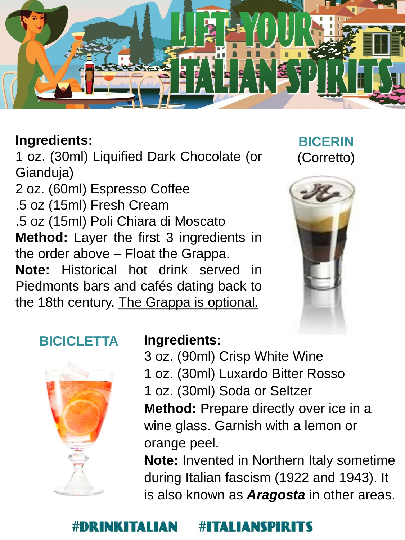

1 oz. (30ml) Liquified Dark Chocolate (or Gianduja)

2 oz. (60ml) Espresso Coffee .5 oz (15ml) Fresh Cream .5 oz (15ml) Poli Chiara di Moscato **Method:** Layer the first 3 ingredients in the order above – Float the Grappa. **Note:** Historical hot drink served in Piedmonts bars and cafés dating back to the 18th century. The Grappa is optional.

## **BICERIN** (Corretto)



## **BICICLETTA**



### **Ingredients:**

3 oz. (90ml) Crisp White Wine 1 oz. (30ml) Luxardo Bitter Rosso 1 oz. (30ml) Soda or Seltzer **Method:** Prepare directly over ice in a wine glass. Garnish with a lemon or orange peel.

**Note:** Invented in Northern Italy sometime during Italian fascism (1922 and 1943). It is also known as *Aragosta* in other areas.

#### **TALIANSPIR** ᅔ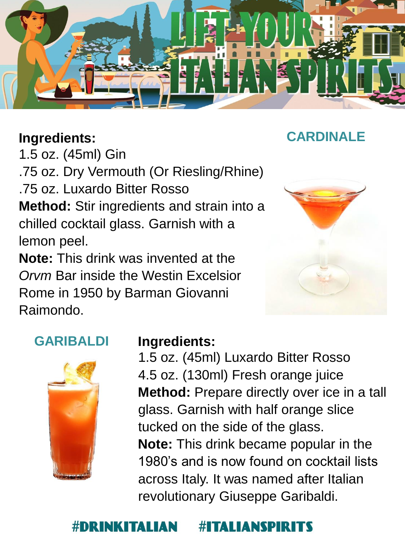

1.5 oz. (45ml) Gin

.75 oz. Dry Vermouth (Or Riesling/Rhine)

.75 oz. Luxardo Bitter Rosso

**Method:** Stir ingredients and strain into a chilled cocktail glass. Garnish with a lemon peel.

**Note:** This drink was invented at the *Orvm* Bar inside the Westin Excelsior Rome in 1950 by Barman Giovanni Raimondo.



## **GARIBALDI**



### **Ingredients:**

1.5 oz. (45ml) Luxardo Bitter Rosso 4.5 oz. (130ml) Fresh orange juice **Method:** Prepare directly over ice in a tall glass. Garnish with half orange slice tucked on the side of the glass. **Note:** This drink became popular in the 1980's and is now found on cocktail lists across Italy. It was named after Italian revolutionary Giuseppe Garibaldi.

## **FALLANSPIR**

## **CARDINALE**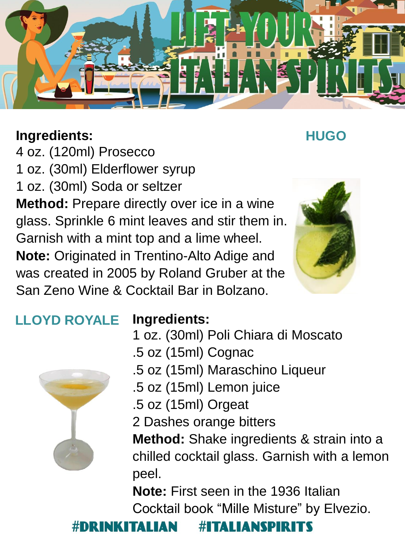

**HUGO**

4 oz. (120ml) Prosecco 1 oz. (30ml) Elderflower syrup 1 oz. (30ml) Soda or seltzer **Method:** Prepare directly over ice in a wine glass. Sprinkle 6 mint leaves and stir them in. Garnish with a mint top and a lime wheel. **Note:** Originated in Trentino-Alto Adige and was created in 2005 by Roland Gruber at the San Zeno Wine & Cocktail Bar in Bolzano.



#### **Ingredients: LLOYD ROYALE**

- 1 oz. (30ml) Poli Chiara di Moscato
- .5 oz (15ml) Cognac
- .5 oz (15ml) Maraschino Liqueur
- .5 oz (15ml) Lemon juice
- .5 oz (15ml) Orgeat
- 2 Dashes orange bitters

**Method:** Shake ingredients & strain into a chilled cocktail glass. Garnish with a lemon peel.

**Note:** First seen in the 1936 Italian Cocktail book "Mille Misture" by Elvezio.

#### **#ITALIANSPIRITS** KITALIAN

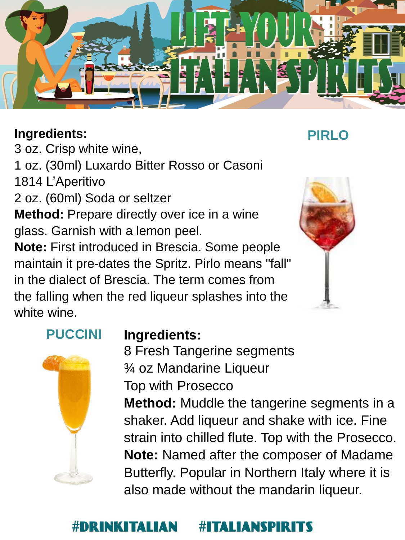

3 oz. Crisp white wine,

1 oz. (30ml) Luxardo Bitter Rosso or Casoni

1814 L'Aperitivo

2 oz. (60ml) Soda or seltzer

**Method:** Prepare directly over ice in a wine glass. Garnish with a lemon peel.

**Note:** First introduced in Brescia. Some people maintain it pre-dates the Spritz. Pirlo means "fall" in the dialect of Brescia. The term comes from the falling when the red liqueur splashes into the white wine.

# **PUCCINI**



## **Ingredients:**

8 Fresh Tangerine segments ¾ oz Mandarine Liqueur Top with Prosecco

**Method:** Muddle the tangerine segments in a shaker. Add liqueur and shake with ice. Fine strain into chilled flute. Top with the Prosecco. **Note:** Named after the composer of Madame Butterfly. Popular in Northern Italy where it is also made without the mandarin liqueur.

#### ITALIANSPIRIT #DRI INKITALIAN ᅔ

## **PIRLO**